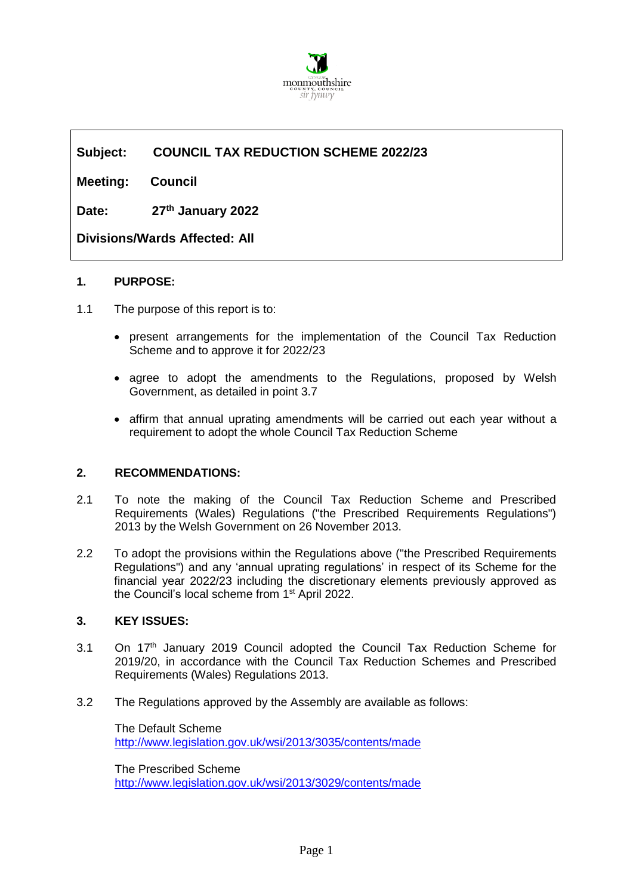

# **Subject: COUNCIL TAX REDUCTION SCHEME 2022/23**

**Meeting: Council** 

**Date: 27th January 2022**

**Divisions/Wards Affected: All**

### **1. PURPOSE:**

- 1.1 The purpose of this report is to:
	- present arrangements for the implementation of the Council Tax Reduction Scheme and to approve it for 2022/23
	- agree to adopt the amendments to the Regulations, proposed by Welsh Government, as detailed in point 3.7
	- affirm that annual uprating amendments will be carried out each year without a requirement to adopt the whole Council Tax Reduction Scheme

#### **2. RECOMMENDATIONS:**

- 2.1 To note the making of the Council Tax Reduction Scheme and Prescribed Requirements (Wales) Regulations ("the Prescribed Requirements Regulations") 2013 by the Welsh Government on 26 November 2013.
- 2.2 To adopt the provisions within the Regulations above ("the Prescribed Requirements Regulations") and any 'annual uprating regulations' in respect of its Scheme for the financial year 2022/23 including the discretionary elements previously approved as the Council's local scheme from 1<sup>st</sup> April 2022.

## **3. KEY ISSUES:**

- 3.1 On 17<sup>th</sup> January 2019 Council adopted the Council Tax Reduction Scheme for 2019/20, in accordance with the Council Tax Reduction Schemes and Prescribed Requirements (Wales) Regulations 2013.
- 3.2 The Regulations approved by the Assembly are available as follows:

The Default Scheme <http://www.legislation.gov.uk/wsi/2013/3035/contents/made>

The Prescribed Scheme <http://www.legislation.gov.uk/wsi/2013/3029/contents/made>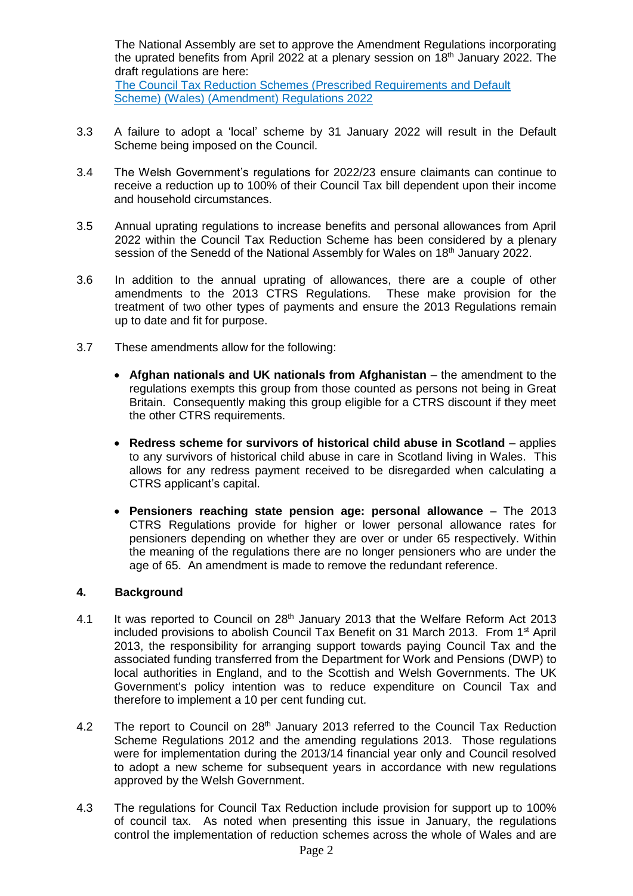The National Assembly are set to approve the Amendment Regulations incorporating the uprated benefits from April 2022 at a plenary session on 18<sup>th</sup> January 2022. The draft regulations are here: [The Council Tax Reduction Schemes \(Prescribed Requirements and Default](https://eur03.safelinks.protection.outlook.com/?url=https%3A%2F%2Fbusiness.senedd.wales%2FmgIssueHistoryHome.aspx%3FIId%3D38476&data=04%7C01%7CRuthDonovan%40monmouthshire.gov.uk%7C3bdadc3b5b7a46e7cec708d9bbbcf707%7C2c4d0079c52c4bb3b3cad8eaf1b6b7d5%7C0%7C0%7C637747242539514146%7CUnknown%7CTWFpbGZsb3d8eyJWIjoiMC4wLjAwMDAiLCJQIjoiV2luMzIiLCJBTiI6Ik1haWwiLCJXVCI6Mn0%3D%7C3000&sdata=epID2iUVn4P2X7UbQ7NqSypoO1xgtbz3yjyIwiaz99g%3D&reserved=0) 

- [Scheme\) \(Wales\) \(Amendment\) Regulations 2022](https://eur03.safelinks.protection.outlook.com/?url=https%3A%2F%2Fbusiness.senedd.wales%2FmgIssueHistoryHome.aspx%3FIId%3D38476&data=04%7C01%7CRuthDonovan%40monmouthshire.gov.uk%7C3bdadc3b5b7a46e7cec708d9bbbcf707%7C2c4d0079c52c4bb3b3cad8eaf1b6b7d5%7C0%7C0%7C637747242539514146%7CUnknown%7CTWFpbGZsb3d8eyJWIjoiMC4wLjAwMDAiLCJQIjoiV2luMzIiLCJBTiI6Ik1haWwiLCJXVCI6Mn0%3D%7C3000&sdata=epID2iUVn4P2X7UbQ7NqSypoO1xgtbz3yjyIwiaz99g%3D&reserved=0)
- 3.3 A failure to adopt a 'local' scheme by 31 January 2022 will result in the Default Scheme being imposed on the Council.
- 3.4 The Welsh Government's regulations for 2022/23 ensure claimants can continue to receive a reduction up to 100% of their Council Tax bill dependent upon their income and household circumstances.
- 3.5 Annual uprating regulations to increase benefits and personal allowances from April 2022 within the Council Tax Reduction Scheme has been considered by a plenary session of the Senedd of the National Assembly for Wales on 18<sup>th</sup> January 2022.
- 3.6 In addition to the annual uprating of allowances, there are a couple of other amendments to the 2013 CTRS Regulations. These make provision for the amendments to the 2013 CTRS Regulations. treatment of two other types of payments and ensure the 2013 Regulations remain up to date and fit for purpose.
- 3.7 These amendments allow for the following:
	- **Afghan nationals and UK nationals from Afghanistan** the amendment to the regulations exempts this group from those counted as persons not being in Great Britain. Consequently making this group eligible for a CTRS discount if they meet the other CTRS requirements.
	- **Redress scheme for survivors of historical child abuse in Scotland**  applies to any survivors of historical child abuse in care in Scotland living in Wales. This allows for any redress payment received to be disregarded when calculating a CTRS applicant's capital.
	- **Pensioners reaching state pension age: personal allowance**  The 2013 CTRS Regulations provide for higher or lower personal allowance rates for pensioners depending on whether they are over or under 65 respectively. Within the meaning of the regulations there are no longer pensioners who are under the age of 65. An amendment is made to remove the redundant reference.

#### **4. Background**

- 4.1 It was reported to Council on 28<sup>th</sup> January 2013 that the Welfare Reform Act 2013 included provisions to abolish Council Tax Benefit on 31 March 2013. From 1<sup>st</sup> April 2013, the responsibility for arranging support towards paying Council Tax and the associated funding transferred from the Department for Work and Pensions (DWP) to local authorities in England, and to the Scottish and Welsh Governments. The UK Government's policy intention was to reduce expenditure on Council Tax and therefore to implement a 10 per cent funding cut.
- 4.2 The report to Council on 28<sup>th</sup> January 2013 referred to the Council Tax Reduction Scheme Regulations 2012 and the amending regulations 2013. Those regulations were for implementation during the 2013/14 financial year only and Council resolved to adopt a new scheme for subsequent years in accordance with new regulations approved by the Welsh Government.
- 4.3 The regulations for Council Tax Reduction include provision for support up to 100% of council tax. As noted when presenting this issue in January, the regulations control the implementation of reduction schemes across the whole of Wales and are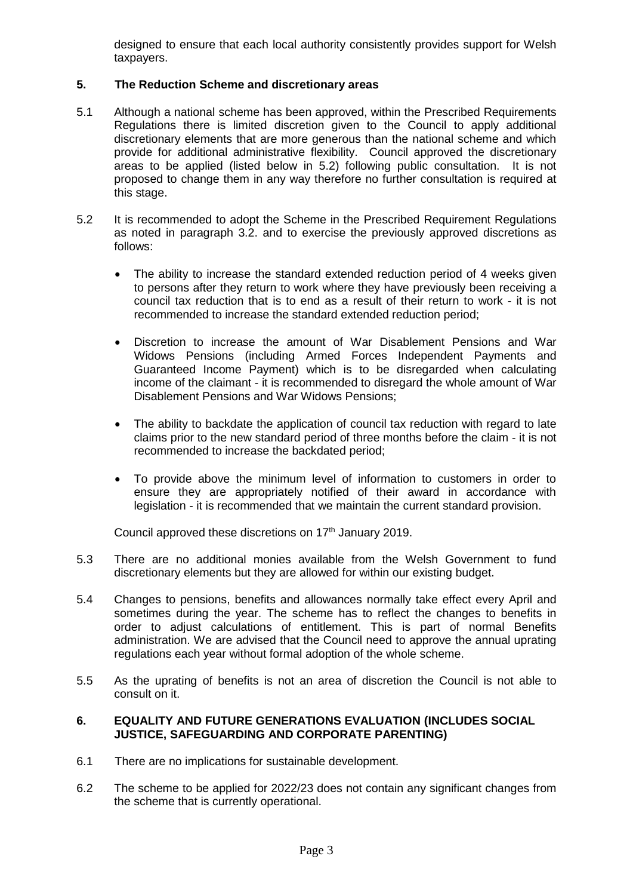designed to ensure that each local authority consistently provides support for Welsh taxpayers.

### **5. The Reduction Scheme and discretionary areas**

- 5.1 Although a national scheme has been approved, within the Prescribed Requirements Regulations there is limited discretion given to the Council to apply additional discretionary elements that are more generous than the national scheme and which provide for additional administrative flexibility. Council approved the discretionary areas to be applied (listed below in 5.2) following public consultation. It is not proposed to change them in any way therefore no further consultation is required at this stage.
- 5.2 It is recommended to adopt the Scheme in the Prescribed Requirement Regulations as noted in paragraph 3.2. and to exercise the previously approved discretions as follows:
	- The ability to increase the standard extended reduction period of 4 weeks given to persons after they return to work where they have previously been receiving a council tax reduction that is to end as a result of their return to work - it is not recommended to increase the standard extended reduction period;
	- Discretion to increase the amount of War Disablement Pensions and War Widows Pensions (including Armed Forces Independent Payments and Guaranteed Income Payment) which is to be disregarded when calculating income of the claimant - it is recommended to disregard the whole amount of War Disablement Pensions and War Widows Pensions;
	- The ability to backdate the application of council tax reduction with regard to late claims prior to the new standard period of three months before the claim - it is not recommended to increase the backdated period;
	- To provide above the minimum level of information to customers in order to ensure they are appropriately notified of their award in accordance with legislation - it is recommended that we maintain the current standard provision.

Council approved these discretions on 17<sup>th</sup> January 2019.

- 5.3 There are no additional monies available from the Welsh Government to fund discretionary elements but they are allowed for within our existing budget.
- 5.4 Changes to pensions, benefits and allowances normally take effect every April and sometimes during the year. The scheme has to reflect the changes to benefits in order to adjust calculations of entitlement. This is part of normal Benefits administration. We are advised that the Council need to approve the annual uprating regulations each year without formal adoption of the whole scheme.
- 5.5 As the uprating of benefits is not an area of discretion the Council is not able to consult on it.

#### **6. EQUALITY AND FUTURE GENERATIONS EVALUATION (INCLUDES SOCIAL JUSTICE, SAFEGUARDING AND CORPORATE PARENTING)**

- 6.1 There are no implications for sustainable development.
- 6.2 The scheme to be applied for 2022/23 does not contain any significant changes from the scheme that is currently operational.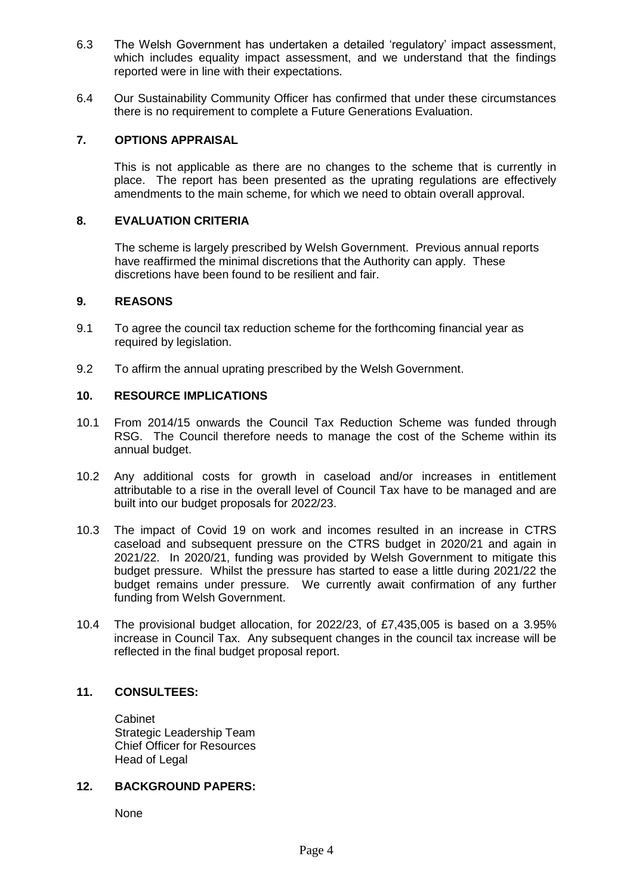- 6.3 The Welsh Government has undertaken a detailed 'regulatory' impact assessment, which includes equality impact assessment, and we understand that the findings reported were in line with their expectations.
- 6.4 Our Sustainability Community Officer has confirmed that under these circumstances there is no requirement to complete a Future Generations Evaluation.

### **7. OPTIONS APPRAISAL**

This is not applicable as there are no changes to the scheme that is currently in place. The report has been presented as the uprating regulations are effectively amendments to the main scheme, for which we need to obtain overall approval.

#### **8. EVALUATION CRITERIA**

The scheme is largely prescribed by Welsh Government. Previous annual reports have reaffirmed the minimal discretions that the Authority can apply. These discretions have been found to be resilient and fair.

#### **9. REASONS**

- 9.1 To agree the council tax reduction scheme for the forthcoming financial year as required by legislation.
- 9.2 To affirm the annual uprating prescribed by the Welsh Government.

#### **10. RESOURCE IMPLICATIONS**

- 10.1 From 2014/15 onwards the Council Tax Reduction Scheme was funded through RSG. The Council therefore needs to manage the cost of the Scheme within its annual budget.
- 10.2 Any additional costs for growth in caseload and/or increases in entitlement attributable to a rise in the overall level of Council Tax have to be managed and are built into our budget proposals for 2022/23.
- 10.3 The impact of Covid 19 on work and incomes resulted in an increase in CTRS caseload and subsequent pressure on the CTRS budget in 2020/21 and again in 2021/22. In 2020/21, funding was provided by Welsh Government to mitigate this budget pressure. Whilst the pressure has started to ease a little during 2021/22 the budget remains under pressure. We currently await confirmation of any further funding from Welsh Government.
- 10.4 The provisional budget allocation, for 2022/23, of £7,435,005 is based on a 3.95% increase in Council Tax. Any subsequent changes in the council tax increase will be reflected in the final budget proposal report.

#### **11. CONSULTEES:**

Cabinet Strategic Leadership Team Chief Officer for Resources Head of Legal

#### **12. BACKGROUND PAPERS:**

None